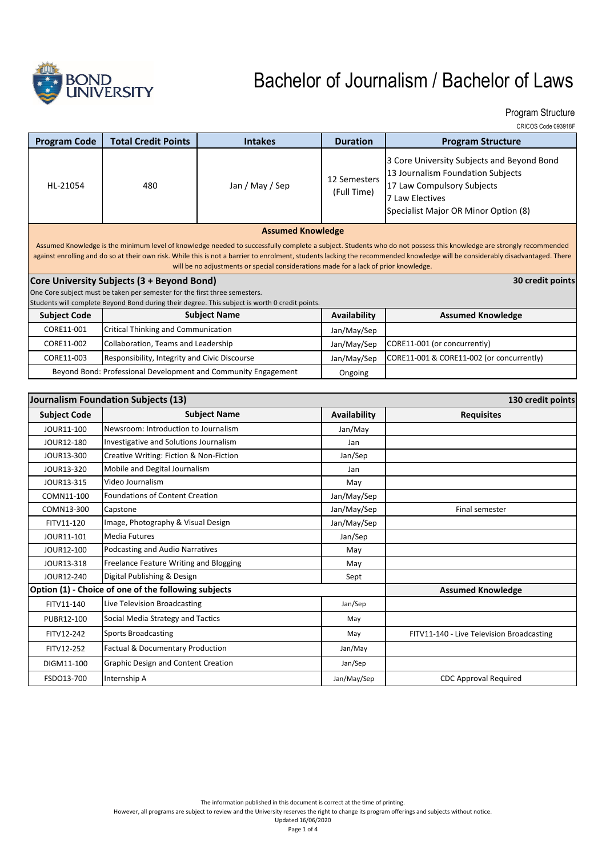

Program Structure

|  | CRICOS Code 093918F |
|--|---------------------|
|  |                     |

| <b>Program Code</b>                                                                                                                                                                                                                                                                                                                                                                                                                                                     | <b>Total Credit Points</b>                    | <b>Intakes</b>      | <b>Duration</b>             | <b>Program Structure</b>                                                                                                                                                 |
|-------------------------------------------------------------------------------------------------------------------------------------------------------------------------------------------------------------------------------------------------------------------------------------------------------------------------------------------------------------------------------------------------------------------------------------------------------------------------|-----------------------------------------------|---------------------|-----------------------------|--------------------------------------------------------------------------------------------------------------------------------------------------------------------------|
| HL-21054                                                                                                                                                                                                                                                                                                                                                                                                                                                                | 480                                           | Jan / May / Sep     | 12 Semesters<br>(Full Time) | 3 Core University Subjects and Beyond Bond<br>13 Journalism Foundation Subjects<br>17 Law Compulsory Subjects<br>7 Law Electives<br>Specialist Major OR Minor Option (8) |
| <b>Assumed Knowledge</b><br>Assumed Knowledge is the minimum level of knowledge needed to successfully complete a subject. Students who do not possess this knowledge are strongly recommended<br>against enrolling and do so at their own risk. While this is not a barrier to enrolment, students lacking the recommended knowledge will be considerably disadvantaged. There<br>will be no adjustments or special considerations made for a lack of prior knowledge. |                                               |                     |                             |                                                                                                                                                                          |
| 30 credit points<br>Core University Subjects (3 + Beyond Bond)                                                                                                                                                                                                                                                                                                                                                                                                          |                                               |                     |                             |                                                                                                                                                                          |
| One Core subject must be taken per semester for the first three semesters.                                                                                                                                                                                                                                                                                                                                                                                              |                                               |                     |                             |                                                                                                                                                                          |
| Students will complete Beyond Bond during their degree. This subject is worth 0 credit points.                                                                                                                                                                                                                                                                                                                                                                          |                                               |                     |                             |                                                                                                                                                                          |
| <b>Subject Code</b>                                                                                                                                                                                                                                                                                                                                                                                                                                                     |                                               | <b>Subject Name</b> | Availability                | <b>Assumed Knowledge</b>                                                                                                                                                 |
| CORE11-001                                                                                                                                                                                                                                                                                                                                                                                                                                                              | Critical Thinking and Communication           |                     | Jan/May/Sep                 |                                                                                                                                                                          |
| CORE11-002                                                                                                                                                                                                                                                                                                                                                                                                                                                              | Collaboration, Teams and Leadership           |                     | Jan/May/Sep                 | CORE11-001 (or concurrently)                                                                                                                                             |
| CORE11-003                                                                                                                                                                                                                                                                                                                                                                                                                                                              | Responsibility, Integrity and Civic Discourse |                     | Jan/May/Sep                 | CORE11-001 & CORE11-002 (or concurrently)                                                                                                                                |
| Beyond Bond: Professional Development and Community Engagement                                                                                                                                                                                                                                                                                                                                                                                                          |                                               |                     | Ongoing                     |                                                                                                                                                                          |

|                     | Journalism Foundation Subjects (13)                  | 130 credit points |                                           |  |
|---------------------|------------------------------------------------------|-------------------|-------------------------------------------|--|
| <b>Subject Code</b> | <b>Subject Name</b><br><b>Availability</b>           |                   | <b>Requisites</b>                         |  |
| JOUR11-100          | Newsroom: Introduction to Journalism                 | Jan/May           |                                           |  |
| JOUR12-180          | Investigative and Solutions Journalism               | Jan               |                                           |  |
| JOUR13-300          | Creative Writing: Fiction & Non-Fiction              | Jan/Sep           |                                           |  |
| JOUR13-320          | Mobile and Degital Journalism                        | Jan               |                                           |  |
| JOUR13-315          | Video Journalism                                     | May               |                                           |  |
| COMN11-100          | <b>Foundations of Content Creation</b>               | Jan/May/Sep       |                                           |  |
| COMN13-300          | Capstone                                             | Jan/May/Sep       | Final semester                            |  |
| FITV11-120          | Image, Photography & Visual Design                   | Jan/May/Sep       |                                           |  |
| JOUR11-101          | <b>Media Futures</b>                                 | Jan/Sep           |                                           |  |
| JOUR12-100          | Podcasting and Audio Narratives                      | May               |                                           |  |
| JOUR13-318          | Freelance Feature Writing and Blogging               | May               |                                           |  |
| JOUR12-240          | Digital Publishing & Design                          | Sept              |                                           |  |
|                     | Option (1) - Choice of one of the following subjects |                   | <b>Assumed Knowledge</b>                  |  |
| FITV11-140          | Live Television Broadcasting                         | Jan/Sep           |                                           |  |
| PUBR12-100          | Social Media Strategy and Tactics                    | May               |                                           |  |
| FITV12-242          | <b>Sports Broadcasting</b>                           | May               | FITV11-140 - Live Television Broadcasting |  |
| FITV12-252          | Factual & Documentary Production                     | Jan/May           |                                           |  |
| DIGM11-100          | <b>Graphic Design and Content Creation</b>           | Jan/Sep           |                                           |  |
| FSDO13-700          | Internship A                                         | Jan/May/Sep       | <b>CDC Approval Required</b>              |  |

However, all programs are subject to review and the University reserves the right to change its program offerings and subjects without notice. Updated 16/06/2020

Page 1 of 4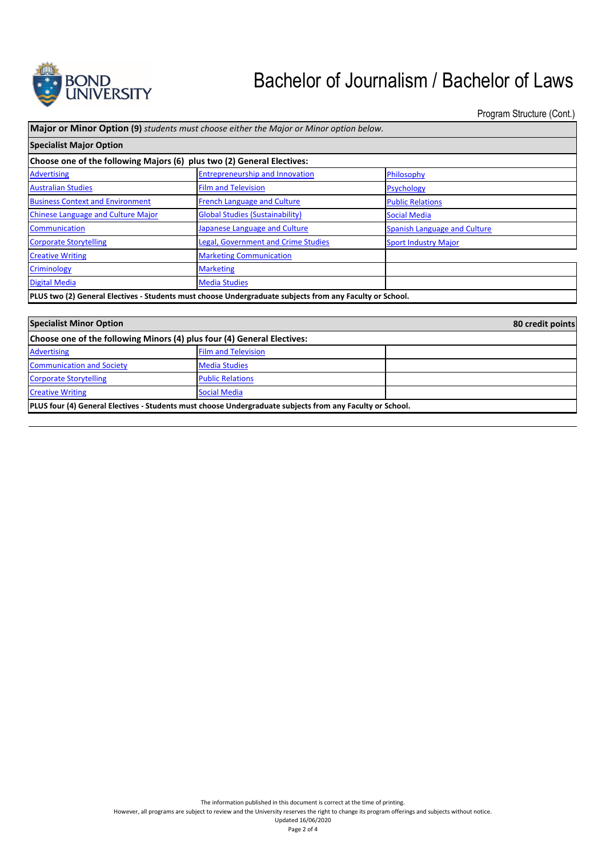

Program Structure (Cont.)

| <b>Major or Minor Option (9)</b> students must choose either the Major or Minor option below.            |                                            |                                     |  |
|----------------------------------------------------------------------------------------------------------|--------------------------------------------|-------------------------------------|--|
| <b>Specialist Major Option</b>                                                                           |                                            |                                     |  |
| Choose one of the following Majors (6) plus two (2) General Electives:                                   |                                            |                                     |  |
| <b>Advertising</b>                                                                                       | <b>Entrepreneurship and Innovation</b>     | Philosophy                          |  |
| <b>Australian Studies</b>                                                                                | <b>Film and Television</b>                 | <b>Psychology</b>                   |  |
| <b>Business Context and Environment</b>                                                                  | <b>French Language and Culture</b>         | <b>Public Relations</b>             |  |
| <b>Chinese Language and Culture Major</b>                                                                | <b>Global Studies (Sustainability)</b>     | <b>Social Media</b>                 |  |
| Communication                                                                                            | Japanese Language and Culture              | <b>Spanish Language and Culture</b> |  |
| <b>Corporate Storytelling</b>                                                                            | <b>Legal, Government and Crime Studies</b> | <b>Sport Industry Major</b>         |  |
| <b>Creative Writing</b>                                                                                  | <b>Marketing Communication</b>             |                                     |  |
| <b>Criminology</b>                                                                                       | <b>Marketing</b>                           |                                     |  |
| Digital Media                                                                                            | <b>Media Studies</b>                       |                                     |  |
| PLUS two (2) General Electives - Students must choose Undergraduate subjects from any Faculty or School. |                                            |                                     |  |

| <b>Specialist Minor Option</b>                                                                                   |                            | 80 credit points |  |
|------------------------------------------------------------------------------------------------------------------|----------------------------|------------------|--|
| Choose one of the following Minors (4) plus four (4) General Electives:                                          |                            |                  |  |
| <b>Advertising</b>                                                                                               | <b>Film and Television</b> |                  |  |
| <b>Communication and Society</b>                                                                                 | <b>Media Studies</b>       |                  |  |
| <b>Corporate Storytelling</b>                                                                                    | <b>Public Relations</b>    |                  |  |
| <b>Creative Writing</b>                                                                                          | <b>Social Media</b>        |                  |  |
| <b>PLUS four (4) General Electives - Students must choose Undergraduate subjects from any Faculty or School.</b> |                            |                  |  |

However, all programs are subject to review and the University reserves the right to change its program offerings and subjects without notice. Updated 16/06/2020

Page 2 of 4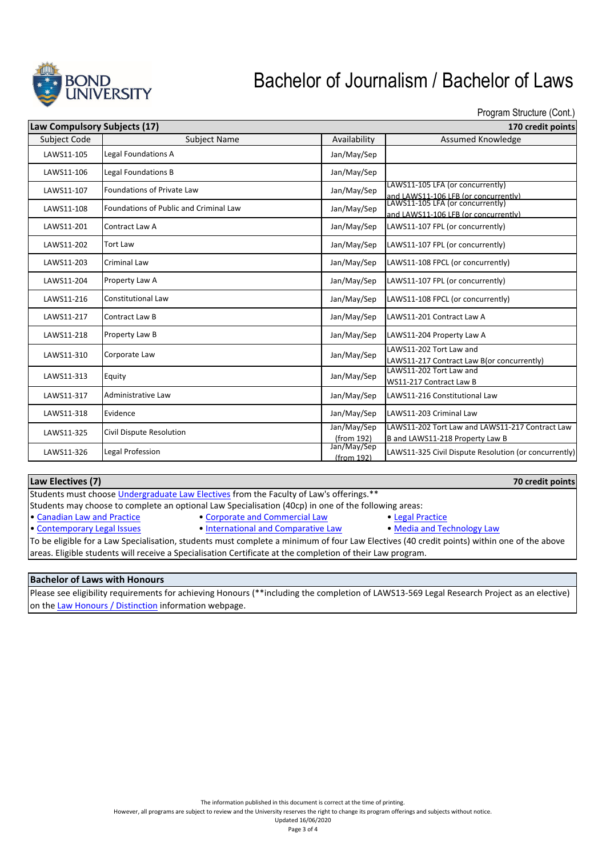

Program Structure (Cont.)

| Law Compulsory Subjects (17) |                                        |                           | 170 credit points                                                                                                |
|------------------------------|----------------------------------------|---------------------------|------------------------------------------------------------------------------------------------------------------|
| <b>Subject Code</b>          | <b>Subject Name</b>                    | Availability              | <b>Assumed Knowledge</b>                                                                                         |
| LAWS11-105                   | Legal Foundations A                    | Jan/May/Sep               |                                                                                                                  |
| LAWS11-106                   | Legal Foundations B                    | Jan/May/Sep               |                                                                                                                  |
| LAWS11-107                   | Foundations of Private Law             | Jan/May/Sep               | LAWS11-105 LFA (or concurrently)                                                                                 |
| LAWS11-108                   | Foundations of Public and Criminal Law | Jan/May/Sep               | and LAWS11-106 LFB (or concurrently)<br>LAWS11-105 LFA (or concurrently)<br>and LAWS11-106 LFB (or concurrently) |
| LAWS11-201                   | Contract Law A                         | Jan/May/Sep               | LAWS11-107 FPL (or concurrently)                                                                                 |
| LAWS11-202                   | <b>Tort Law</b>                        | Jan/May/Sep               | LAWS11-107 FPL (or concurrently)                                                                                 |
| LAWS11-203                   | <b>Criminal Law</b>                    | Jan/May/Sep               | LAWS11-108 FPCL (or concurrently)                                                                                |
| LAWS11-204                   | Property Law A                         | Jan/May/Sep               | LAWS11-107 FPL (or concurrently)                                                                                 |
| LAWS11-216                   | <b>Constitutional Law</b>              | Jan/May/Sep               | LAWS11-108 FPCL (or concurrently)                                                                                |
| LAWS11-217                   | Contract Law B                         | Jan/May/Sep               | LAWS11-201 Contract Law A                                                                                        |
| LAWS11-218                   | Property Law B                         | Jan/May/Sep               | LAWS11-204 Property Law A                                                                                        |
| LAWS11-310                   | Corporate Law                          | Jan/May/Sep               | LAWS11-202 Tort Law and<br>LAWS11-217 Contract Law B(or concurrently)                                            |
| LAWS11-313                   | Equity                                 | Jan/May/Sep               | LAWS11-202 Tort Law and<br>WS11-217 Contract Law B                                                               |
| LAWS11-317                   | Administrative Law                     | Jan/May/Sep               | LAWS11-216 Constitutional Law                                                                                    |
| LAWS11-318                   | Evidence                               | Jan/May/Sep               | LAWS11-203 Criminal Law                                                                                          |
| LAWS11-325                   | Civil Dispute Resolution               | Jan/May/Sep<br>(from 192) | LAWS11-202 Tort Law and LAWS11-217 Contract Law<br>B and LAWS11-218 Property Law B                               |
| LAWS11-326                   | Legal Profession                       | Jan/May/Sep<br>(from 192) | LAWS11-325 Civil Dispute Resolution (or concurrently)                                                            |

| Law Electives (7)                                                                               | 70 credit points |
|-------------------------------------------------------------------------------------------------|------------------|
| <b>Students must choose Undergraduate Law Electives from the Faculty of Law's offerings.</b> ** |                  |

Students may choose to complete an optional Law Specialisation (40cp) in one of the following areas:

- 
- Canadian Law and Practice  **Corporate and Commercial Law** Legal Practice Contemporary Legal Issues International and Comparative Law Media and Technology Law • International and Comparative Law
	-

To be eligible for a Law Specialisation, students must complete a minimum of four Law Electives (40 credit points) within one of the above areas. Eligible students will receive a Specialisation Certificate at the completion of their Law program.

#### **Bachelor of Laws with Honours**

Please see eligibility requirements for achieving Honours (\*\*including the completion of LAWS13‐569 Legal Research Project as an elective) on the Law Honours / Distinction information webpage.

However, all programs are subject to review and the University reserves the right to change its program offerings and subjects without notice.

Updated 16/06/2020 Page 3 of 4